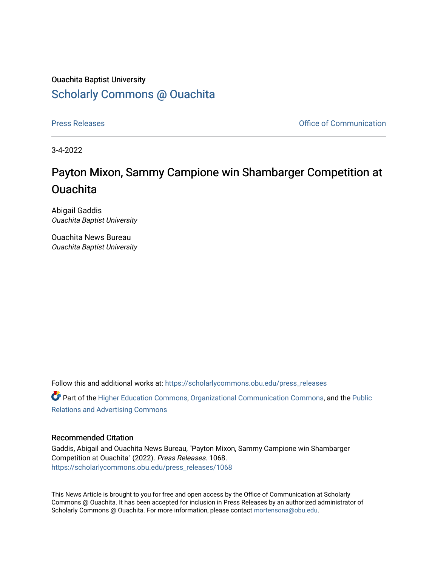## Ouachita Baptist University [Scholarly Commons @ Ouachita](https://scholarlycommons.obu.edu/)

[Press Releases](https://scholarlycommons.obu.edu/press_releases) **Press Releases Communication** 

3-4-2022

## Payton Mixon, Sammy Campione win Shambarger Competition at **Ouachita**

Abigail Gaddis Ouachita Baptist University

Ouachita News Bureau Ouachita Baptist University

Follow this and additional works at: [https://scholarlycommons.obu.edu/press\\_releases](https://scholarlycommons.obu.edu/press_releases?utm_source=scholarlycommons.obu.edu%2Fpress_releases%2F1068&utm_medium=PDF&utm_campaign=PDFCoverPages)

Part of the [Higher Education Commons,](http://network.bepress.com/hgg/discipline/1245?utm_source=scholarlycommons.obu.edu%2Fpress_releases%2F1068&utm_medium=PDF&utm_campaign=PDFCoverPages) [Organizational Communication Commons,](http://network.bepress.com/hgg/discipline/335?utm_source=scholarlycommons.obu.edu%2Fpress_releases%2F1068&utm_medium=PDF&utm_campaign=PDFCoverPages) and the [Public](http://network.bepress.com/hgg/discipline/336?utm_source=scholarlycommons.obu.edu%2Fpress_releases%2F1068&utm_medium=PDF&utm_campaign=PDFCoverPages) [Relations and Advertising Commons](http://network.bepress.com/hgg/discipline/336?utm_source=scholarlycommons.obu.edu%2Fpress_releases%2F1068&utm_medium=PDF&utm_campaign=PDFCoverPages) 

## Recommended Citation

Gaddis, Abigail and Ouachita News Bureau, "Payton Mixon, Sammy Campione win Shambarger Competition at Ouachita" (2022). Press Releases. 1068. [https://scholarlycommons.obu.edu/press\\_releases/1068](https://scholarlycommons.obu.edu/press_releases/1068?utm_source=scholarlycommons.obu.edu%2Fpress_releases%2F1068&utm_medium=PDF&utm_campaign=PDFCoverPages) 

This News Article is brought to you for free and open access by the Office of Communication at Scholarly Commons @ Ouachita. It has been accepted for inclusion in Press Releases by an authorized administrator of Scholarly Commons @ Ouachita. For more information, please contact [mortensona@obu.edu](mailto:mortensona@obu.edu).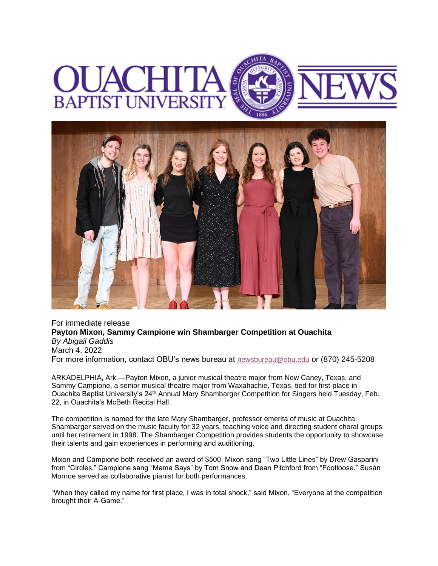



For immediate release **Payton Mixon, Sammy Campione win Shambarger Competition at Ouachita** *By Abigail Gaddis* March 4, 2022 For more information, contact OBU's news bureau at [newsbureau@obu.edu](mailto:newsbureau@obu.edu) or (870) 245-5208

ARKADELPHIA, Ark.—Payton Mixon, a junior musical theatre major from New Caney, Texas, and Sammy Campione, a senior musical theatre major from Waxahachie, Texas, tied for first place in Ouachita Baptist University's 24th Annual Mary Shambarger Competition for Singers held Tuesday, Feb. 22, in Ouachita's McBeth Recital Hall.

The competition is named for the late Mary Shambarger, professor emerita of music at Ouachita. Shambarger served on the music faculty for 32 years, teaching voice and directing student choral groups until her retirement in 1998. The Shambarger Competition provides students the opportunity to showcase their talents and gain experiences in performing and auditioning.

Mixon and Campione both received an award of \$500. Mixon sang "Two Little Lines" by Drew Gasparini from "Circles." Campione sang "Mama Says" by Tom Snow and Dean Pitchford from "Footloose." Susan Monroe served as collaborative pianist for both performances.

"When they called my name for first place, I was in total shock," said Mixon. "Everyone at the competition brought their A-Game."